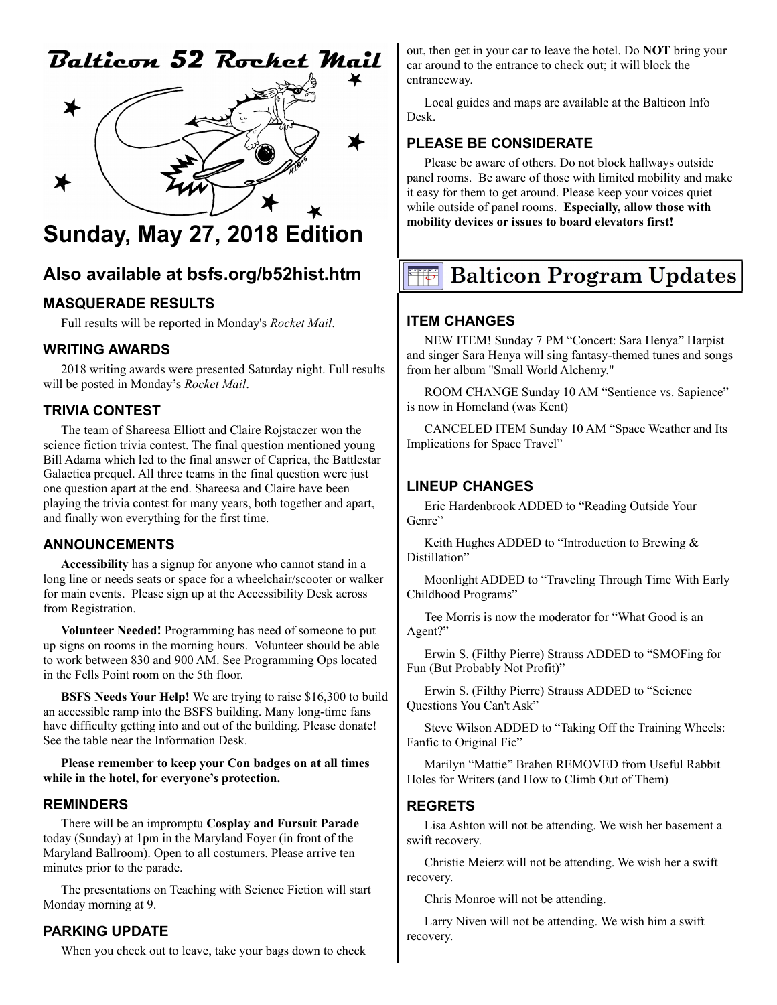# Balticon 52 Rochet Mail



# **Sunday, May 27, 2018 Edition**

# **Also available at bsfs.org/b52hist.htm**

# **MASQUERADE RESULTS**

Full results will be reported in Monday's *Rocket Mail*.

#### **WRITING AWARDS**

2018 writing awards were presented Saturday night. Full results will be posted in Monday's *Rocket Mail*.

# **TRIVIA CONTEST**

The team of Shareesa Elliott and Claire Rojstaczer won the science fiction trivia contest. The final question mentioned young Bill Adama which led to the final answer of Caprica, the Battlestar Galactica prequel. All three teams in the final question were just one question apart at the end. Shareesa and Claire have been playing the trivia contest for many years, both together and apart, and finally won everything for the first time.

# **ANNOUNCEMENTS**

**Accessibility** has a signup for anyone who cannot stand in a long line or needs seats or space for a wheelchair/scooter or walker for main events. Please sign up at the Accessibility Desk across from Registration.

**Volunteer Needed!** Programming has need of someone to put up signs on rooms in the morning hours. Volunteer should be able to work between 830 and 900 AM. See Programming Ops located in the Fells Point room on the 5th floor.

**BSFS Needs Your Help!** We are trying to raise \$16,300 to build an accessible ramp into the BSFS building. Many long-time fans have difficulty getting into and out of the building. Please donate! See the table near the Information Desk.

**Please remember to keep your Con badges on at all times while in the hotel, for everyone's protection.**

#### **REMINDERS**

There will be an impromptu **Cosplay and Fursuit Parade** today (Sunday) at 1pm in the Maryland Foyer (in front of the Maryland Ballroom). Open to all costumers. Please arrive ten minutes prior to the parade.

The presentations on Teaching with Science Fiction will start Monday morning at 9.

# **PARKING UPDATE**

When you check out to leave, take your bags down to check

out, then get in your car to leave the hotel. Do **NOT** bring your car around to the entrance to check out; it will block the entranceway.

Local guides and maps are available at the Balticon Info Desk.

# **PLEASE BE CONSIDERATE**

Please be aware of others. Do not block hallways outside panel rooms. Be aware of those with limited mobility and make it easy for them to get around. Please keep your voices quiet while outside of panel rooms. **Especially, allow those with mobility devices or issues to board elevators first!**

# **Balticon Program Updates**

# **ITEM CHANGES**

NEW ITEM! Sunday 7 PM "Concert: Sara Henya" Harpist and singer Sara Henya will sing fantasy-themed tunes and songs from her album "Small World Alchemy."

ROOM CHANGE Sunday 10 AM "Sentience vs. Sapience" is now in Homeland (was Kent)

CANCELED ITEM Sunday 10 AM "Space Weather and Its Implications for Space Travel"

#### **LINEUP CHANGES**

Eric Hardenbrook ADDED to "Reading Outside Your Genre"

Keith Hughes ADDED to "Introduction to Brewing & Distillation"

Moonlight ADDED to "Traveling Through Time With Early Childhood Programs"

Tee Morris is now the moderator for "What Good is an Agent?"

Erwin S. (Filthy Pierre) Strauss ADDED to "SMOFing for Fun (But Probably Not Profit)"

Erwin S. (Filthy Pierre) Strauss ADDED to "Science Questions You Can't Ask"

Steve Wilson ADDED to "Taking Off the Training Wheels: Fanfic to Original Fic"

Marilyn "Mattie" Brahen REMOVED from Useful Rabbit Holes for Writers (and How to Climb Out of Them)

#### **REGRETS**

Lisa Ashton will not be attending. We wish her basement a swift recovery.

Christie Meierz will not be attending. We wish her a swift recovery.

Chris Monroe will not be attending.

Larry Niven will not be attending. We wish him a swift recovery.